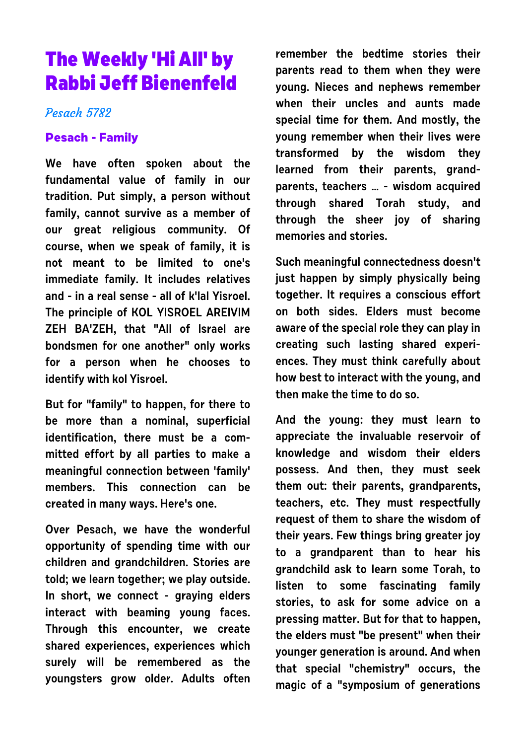# **The Weekly 'Hi All' by Rabbi Jeff Bienenfeld**

## Pesach 5782

### **Pesach - Family**

**We have often spoken about the fundamental value of family in our tradition. Put simply, a person without family, cannot survive as a member of our great religious community. Of course, when we speak of family, it is not meant to be limited to one's immediate family. It includes relatives and - in a real sense - all of k'lal Yisroel. The principle of KOL YISROEL AREIVIM ZEH BA'ZEH, that "All of Israel are bondsmen for one another" only works for a person when he chooses to identify with kol Yisroel.** 

**But for "family" to happen, for there to be more than a nominal, superficial identification, there must be a committed effort by all parties to make a meaningful connection between 'family' members. This connection can be created in many ways. Here's one.**

**Over Pesach, we have the wonderful opportunity of spending time with our children and grandchildren. Stories are told; we learn together; we play outside. In short, we connect - graying elders interact with beaming young faces. Through this encounter, we create shared experiences, experiences which surely will be remembered as the youngsters grow older. Adults often** **remember the bedtime stories their parents read to them when they were young. Nieces and nephews remember when their uncles and aunts made special time for them. And mostly, the young remember when their lives were transformed by the wisdom they learned from their parents, grandparents, teachers … - wisdom acquired through shared Torah study, and through the sheer joy of sharing memories and stories.**

**Such meaningful connectedness doesn't just happen by simply physically being together. It requires a conscious effort on both sides. Elders must become aware of the special role they can play in creating such lasting shared experiences. They must think carefully about how best to interact with the young, and then make the time to do so.**

**And the young: they must learn to appreciate the invaluable reservoir of knowledge and wisdom their elders possess. And then, they must seek them out: their parents, grandparents, teachers, etc. They must respectfully request of them to share the wisdom of their years. Few things bring greater joy to a grandparent than to hear his grandchild ask to learn some Torah, to listen to some fascinating family stories, to ask for some advice on a pressing matter. But for that to happen, the elders must "be present" when their younger generation is around. And when that special "chemistry" occurs, the magic of a "symposium of generations**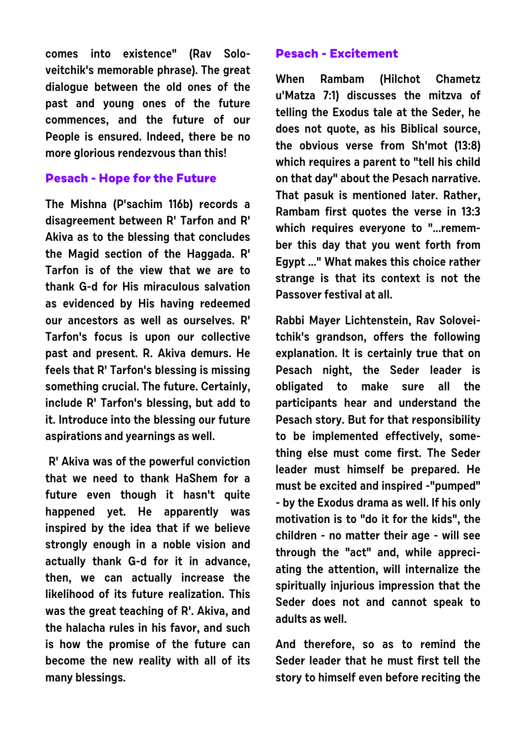**comes into existence" (Rav Soloveitchik's memorable phrase). The great dialogue between the old ones of the past and young ones of the future commences, and the future of our People is ensured. Indeed, there be no more glorious rendezvous than this!**

### **Pesach - Hope for the Future**

**The Mishna (P'sachim 116b) records a disagreement between R' Tarfon and R' Akiva as to the blessing that concludes the Magid section of the Haggada. R' Tarfon is of the view that we are to thank G-d for His miraculous salvation as evidenced by His having redeemed our ancestors as well as ourselves. R' Tarfon's focus is upon our collective past and present. R. Akiva demurs. He feels that R' Tarfon's blessing is missing something crucial. The future. Certainly, include R' Tarfon's blessing, but add to it. Introduce into the blessing our future aspirations and yearnings as well.**

 **R' Akiva was of the powerful conviction that we need to thank HaShem for a** future even though it hasn't quite **happened yet. He apparently was inspired by the idea that if we believe strongly enough in a noble vision and actually thank G-d for it in advance, then, we can actually increase the likelihood of its future realization. This was the great teaching of R'. Akiva, and the halacha rules in his favor, and such is how the promise of the future can become the new reality with all of its many blessings.**

#### **Pesach - Excitement**

**When Rambam (Hilchot Chametz u'Matza 7:1) discusses the mitzva of telling the Exodus tale at the Seder, he does not quote, as his Biblical source, the obvious verse from Sh'mot (13:8) which requires a parent to "tell his child on that day" about the Pesach narrative. That pasuk is mentioned later. Rather, Rambam first quotes the verse in 13:3 which requires everyone to "...remember this day that you went forth from Egypt ..." What makes this choice rather strange is that its context is not the Passover festival at all.**

**Rabbi Mayer Lichtenstein, Rav Soloveitchik's grandson, offers the following explanation. It is certainly true that on Pesach night, the Seder leader is obligated to make sure all the participants hear and understand the Pesach story. But for that responsibility to be implemented effectively, something else must come first. The Seder leader must himself be prepared. He must be excited and inspired -"pumped" - by the Exodus drama as well. If his only motivation is to "do it for the kids", the children - no matter their age - will see through the "act" and, while appreciating the attention, will internalize the spiritually injurious impression that the Seder does not and cannot speak to adults as well.**

**And therefore, so as to remind the Seder leader that he must first tell the story to himself even before reciting the**